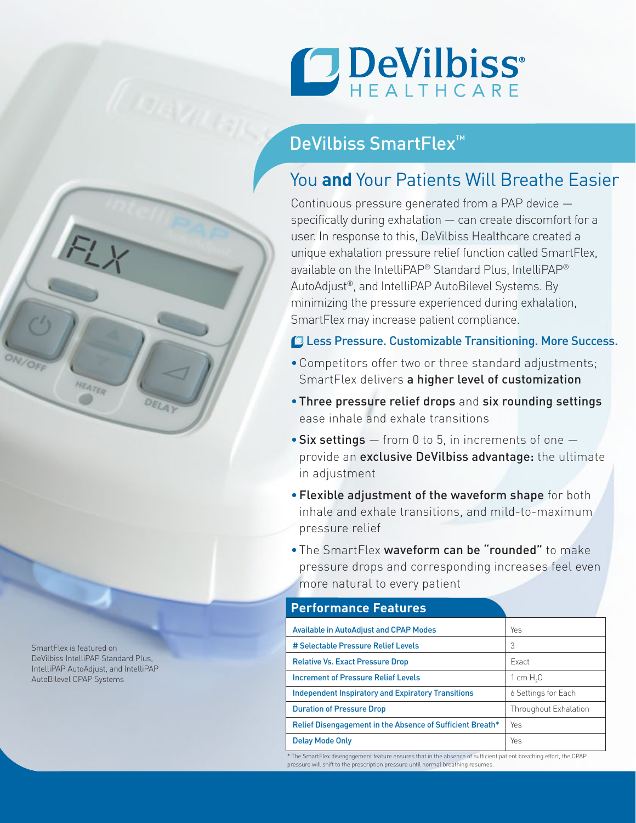

## DeVilbiss SmartFlex<sup>™</sup>

# You **and** Your Patients Will Breathe Easier

Continuous pressure generated from a PAP device specifically during exhalation — can create discomfort for a user. In response to this, DeVilbiss Healthcare created a unique exhalation pressure relief function called SmartFlex, available on the IntelliPAP® Standard Plus, IntelliPAP® AutoAdjust®, and IntelliPAP AutoBilevel Systems. By minimizing the pressure experienced during exhalation, SmartFlex may increase patient compliance.

### Less Pressure. Customizable Transitioning. More Success.

- Competitors offer two or three standard adjustments; SmartFlex delivers a higher level of customization
- •Three pressure relief drops and six rounding settings ease inhale and exhale transitions
- $\bullet$  Six settings  $-$  from 0 to 5, in increments of one  $$ provide an exclusive DeVilbiss advantage: the ultimate in adjustment
- •Flexible adjustment of the waveform shape for both inhale and exhale transitions, and mild-to-maximum pressure relief
- The SmartFlex waveform can be "rounded" to make pressure drops and corresponding increases feel even more natural to every patient

| <b>Performance Features</b>                               |                       |
|-----------------------------------------------------------|-----------------------|
| <b>Available in AutoAdjust and CPAP Modes</b>             | Yes                   |
| # Selectable Pressure Relief Levels                       | 3                     |
| <b>Relative Vs. Exact Pressure Drop</b>                   | <b>Exact</b>          |
| <b>Increment of Pressure Relief Levels</b>                | 1 cm $H20$            |
| <b>Independent Inspiratory and Expiratory Transitions</b> | 6 Settings for Each   |
| <b>Duration of Pressure Drop</b>                          | Throughout Exhalation |
| Relief Disengagement in the Absence of Sufficient Breath* | Yes                   |
| <b>Delay Mode Only</b>                                    | Yes                   |

\* The SmartFlex disengagement feature ensures that in the absence of sufficient patient breathing effort, the CPAP pressure will shift to the prescription pressure until normal breathing resumes.

SmartFlex is featured on DeVilbiss IntelliPAP Standard Plus, IntelliPAP AutoAdjust, and IntelliPAP AutoBilevel CPAP Systems

HEATER